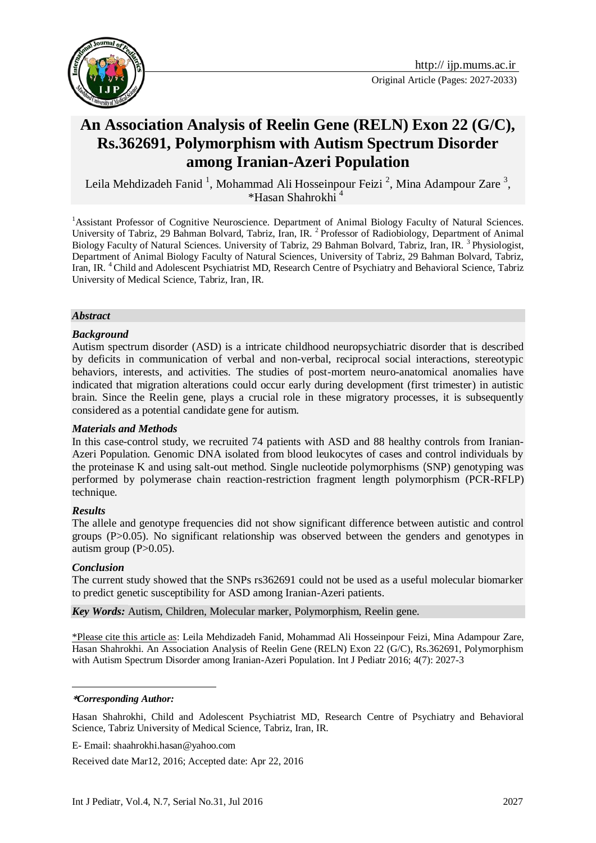

# **An Association Analysis of Reelin Gene (RELN) Exon 22 (G/C), Rs.362691, Polymorphism with Autism Spectrum Disorder among Iranian-Azeri Population**

Leila Mehdizadeh Fanid <sup>1</sup>, Mohammad Ali Hosseinpour Feizi <sup>2</sup>, Mina Adampour Zare <sup>3</sup>,  $*$ Hasan Shahrokhi<sup>4</sup>

<sup>1</sup>Assistant Professor of Cognitive Neuroscience. Department of Animal Biology Faculty of Natural Sciences. University of Tabriz, 29 Bahman Bolvard, Tabriz, Iran, IR.<sup>2</sup> Professor of Radiobiology, Department of Animal Biology Faculty of Natural Sciences. University of Tabriz, 29 Bahman Bolvard, Tabriz, Iran, IR.<sup>3</sup> Physiologist, Department of Animal Biology Faculty of Natural Sciences, University of Tabriz, 29 Bahman Bolvard, Tabriz, Iran, IR. <sup>4</sup> Child and Adolescent Psychiatrist MD, Research Centre of Psychiatry and Behavioral Science, Tabriz University of Medical Science, Tabriz, Iran, IR.

#### *Abstract*

#### *Background*

Autism spectrum disorder (ASD) is a intricate childhood neuropsychiatric disorder that is described by deficits in communication of verbal and non-verbal, reciprocal social interactions, stereotypic behaviors, interests, and activities. The studies of post-mortem neuro-anatomical anomalies have indicated that migration alterations could occur early during development (first trimester) in autistic brain. Since the Reelin gene, plays a crucial role in these migratory processes, it is subsequently considered as a potential candidate gene for autism.

#### *Materials and Methods*

In this case-control study, we recruited 74 patients with ASD and 88 healthy controls from Iranian-Azeri Population. Genomic DNA isolated from blood leukocytes of cases and control individuals by the proteinase K and using salt-out method. Single nucleotide polymorphisms (SNP) genotyping was performed by polymerase chain reaction-restriction fragment length polymorphism (PCR-RFLP) technique.

#### *Results*

The allele and genotype frequencies did not show significant difference between autistic and control groups (P>0.05). No significant relationship was observed between the genders and genotypes in autism group  $(P>0.05)$ .

#### *Conclusion*

The current study showed that the SNPs rs362691 could not be used as a useful molecular biomarker to predict genetic susceptibility for ASD among Iranian-Azeri patients.

*Key Words:* Autism, Children, Molecular marker, Polymorphism, Reelin gene.

\*Please cite this article as: Leila Mehdizadeh Fanid, Mohammad Ali Hosseinpour Feizi, Mina Adampour Zare, Hasan Shahrokhi. An Association Analysis of Reelin Gene (RELN) Exon 22 (G/C), Rs.362691, Polymorphism with Autism Spectrum Disorder among Iranian-Azeri Population. Int J Pediatr 2016; 4(7): 2027-3

#### 1 **\****Corresponding Author:*

Hasan Shahrokhi, Child and Adolescent Psychiatrist MD, Research Centre of Psychiatry and Behavioral Science, Tabriz University of Medical Science, Tabriz, Iran, IR.

E- Email: shaahrokhi.hasan@yahoo.com

Received date Mar12, 2016; Accepted date: Apr 22, 2016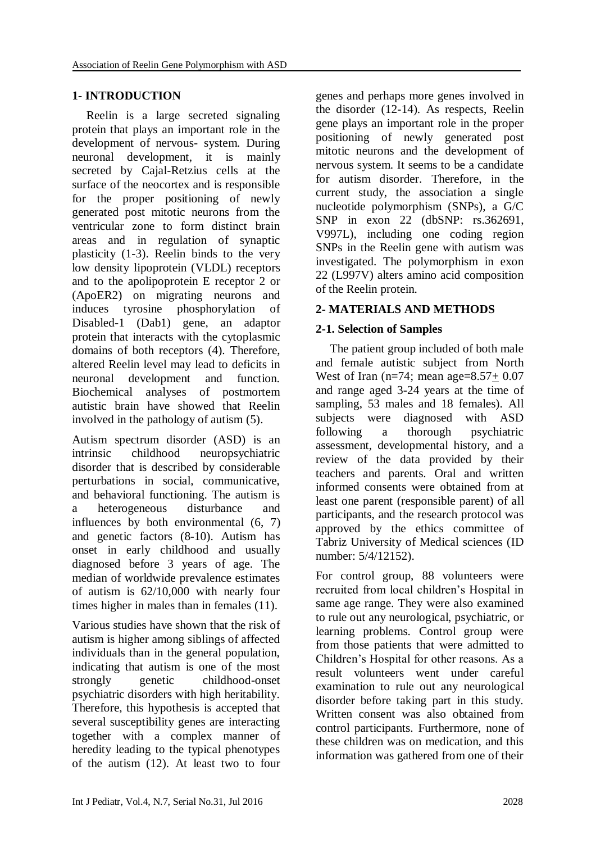# **1- INTRODUCTION**

Reelin is a large secreted signaling protein that plays an important role in the development of nervous- system. During neuronal development, it is mainly secreted by Cajal-Retzius cells at the surface of the neocortex and is responsible for the proper positioning of newly generated post mitotic neurons from the ventricular zone to form distinct brain areas and in regulation of synaptic plasticity (1-3). Reelin binds to the very low density lipoprotein (VLDL) receptors and to the apolipoprotein E receptor 2 or (ApoER2) on migrating neurons and induces tyrosine phosphorylation of Disabled-1 (Dab1) gene, an adaptor protein that interacts with the cytoplasmic domains of both receptors (4). Therefore, altered Reelin level may lead to deficits in neuronal development and function. Biochemical analyses of postmortem autistic brain have showed that Reelin involved in the pathology of autism (5).

Autism spectrum disorder (ASD) is an intrinsic childhood neuropsychiatric disorder that is described by considerable perturbations in social, communicative, and behavioral functioning. The autism is a heterogeneous disturbance and influences by both environmental (6, 7) and genetic factors (8-10). Autism has onset in early childhood and usually diagnosed before 3 years of age. The median of worldwide prevalence estimates of autism is 62/10,000 with nearly four times higher in males than in females (11).

Various studies have shown that the risk of autism is higher among siblings of affected individuals than in the general population, indicating that autism is one of the most strongly genetic childhood-onset psychiatric disorders with high heritability. Therefore, this hypothesis is accepted that several susceptibility genes are interacting together with a complex manner of heredity leading to the typical phenotypes of the autism (12). At least two to four

genes and perhaps more genes involved in the disorder (12-14). As respects, Reelin gene plays an important role in the proper positioning of newly generated post mitotic neurons and the development of nervous system. It seems to be a candidate for autism disorder. Therefore, in the current study, the association a single nucleotide polymorphism (SNPs), a G/C SNP in exon 22 (dbSNP: rs.362691, V997L), including one coding region SNPs in the Reelin gene with autism was investigated. The polymorphism in exon 22 (L997V) alters amino acid composition of the Reelin protein.

# **2- MATERIALS AND METHODS**

# **2-1. Selection of Samples**

The patient group included of both male and female autistic subject from North West of Iran (n=74; mean age= $8.57+0.07$ ) and range aged 3-24 years at the time of sampling, 53 males and 18 females). All subjects were diagnosed with ASD following a thorough psychiatric assessment, developmental history, and a review of the data provided by their teachers and parents. Oral and written informed consents were obtained from at least one parent (responsible parent) of all participants, and the research protocol was approved by the ethics committee of Tabriz University of Medical sciences (ID number: 5/4/12152).

For control group, 88 volunteers were recruited from local children's Hospital in same age range. They were also examined to rule out any neurological, psychiatric, or learning problems. Control group were from those patients that were admitted to Children's Hospital for other reasons. As a result volunteers went under careful examination to rule out any neurological disorder before taking part in this study. Written consent was also obtained from control participants. Furthermore, none of these children was on medication, and this information was gathered from one of their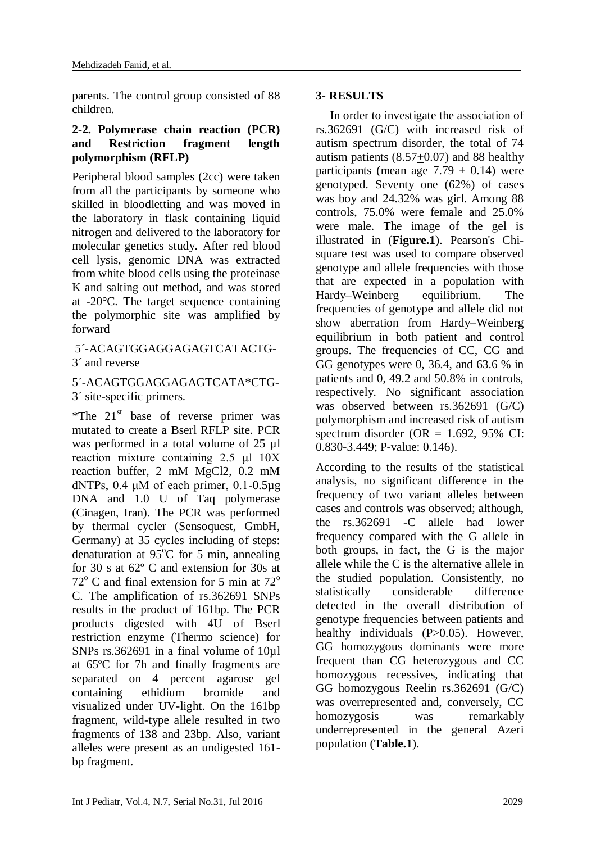parents. The control group consisted of 88 children.

## **2-2. Polymerase chain reaction (PCR) and Restriction fragment length polymorphism (RFLP)**

Peripheral blood samples (2cc) were taken from all the participants by someone who skilled in bloodletting and was moved in the laboratory in flask containing liquid nitrogen and delivered to the laboratory for molecular genetics study. After red blood cell lysis, genomic DNA was extracted from white blood cells using the proteinase K and salting out method, and was stored at -20°C. The target sequence containing the polymorphic site was amplified by forward

## 5´-ACAGTGGAGGAGAGTCATACTG-3´ and reverse

## 5´-ACAGTGGAGGAGAGTCATA\*CTG-3´ site-specific primers.

\*The  $21<sup>st</sup>$  base of reverse primer was mutated to create a Bserl RFLP site. PCR was performed in a total volume of 25 µl reaction mixture containing 2.5 μl 10X reaction buffer, 2 mM MgCl2, 0.2 mM dNTPs,  $0.4 \mu M$  of each primer,  $0.1 - 0.5\mu g$ DNA and 1.0 U of Taq polymerase (Cinagen, Iran). The PCR was performed by thermal cycler (Sensoquest, GmbH, Germany) at 35 cycles including of steps: denaturation at  $95^{\circ}$ C for 5 min, annealing for 30 s at 62º C and extension for 30s at  $72^{\circ}$  C and final extension for 5 min at  $72^{\circ}$ C. The amplification of rs.362691 SNPs results in the product of 161bp. The PCR products digested with 4U of Bserl restriction enzyme (Thermo science) for SNPs rs.362691 in a final volume of  $10\mu$ l at 65ºC for 7h and finally fragments are separated on 4 percent agarose gel containing ethidium bromide and visualized under UV-light. On the 161bp fragment, wild-type allele resulted in two fragments of 138 and 23bp. Also, variant alleles were present as an undigested 161 bp fragment.

# **3- RESULTS**

In order to investigate the association of rs.362691 (G/C) with increased risk of autism spectrum disorder, the total of 74 autism patients (8.57+0.07) and 88 healthy participants (mean age  $7.79 + 0.14$ ) were genotyped. Seventy one (62%) of cases was boy and 24.32% was girl. Among 88 controls, 75.0% were female and 25.0% were male. The image of the gel is illustrated in (**Figure.1**). Pearson's Chisquare test was used to compare observed genotype and allele frequencies with those that are expected in a population with Hardy–Weinberg equilibrium. The frequencies of genotype and allele did not show aberration from Hardy–Weinberg equilibrium in both patient and control groups. The frequencies of CC, CG and GG genotypes were 0, 36.4, and 63.6 % in patients and 0, 49.2 and 50.8% in controls, respectively. No significant association was observed between rs.362691 (G/C) polymorphism and increased risk of autism spectrum disorder (OR  $= 1.692, 95\%$  CI: 0.830-3.449; P-value: 0.146).

According to the results of the statistical analysis, no significant difference in the frequency of two variant alleles between cases and controls was observed; although, the rs.362691 -C allele had lower frequency compared with the G allele in both groups, in fact, the G is the major allele while the C is the alternative allele in the studied population. Consistently, no statistically considerable difference detected in the overall distribution of genotype frequencies between patients and healthy individuals (P>0.05). However, GG homozygous dominants were more frequent than CG heterozygous and CC homozygous recessives, indicating that GG homozygous Reelin rs.362691 (G/C) was overrepresented and, conversely, CC homozygosis was remarkably underrepresented in the general Azeri population (**Table.1**).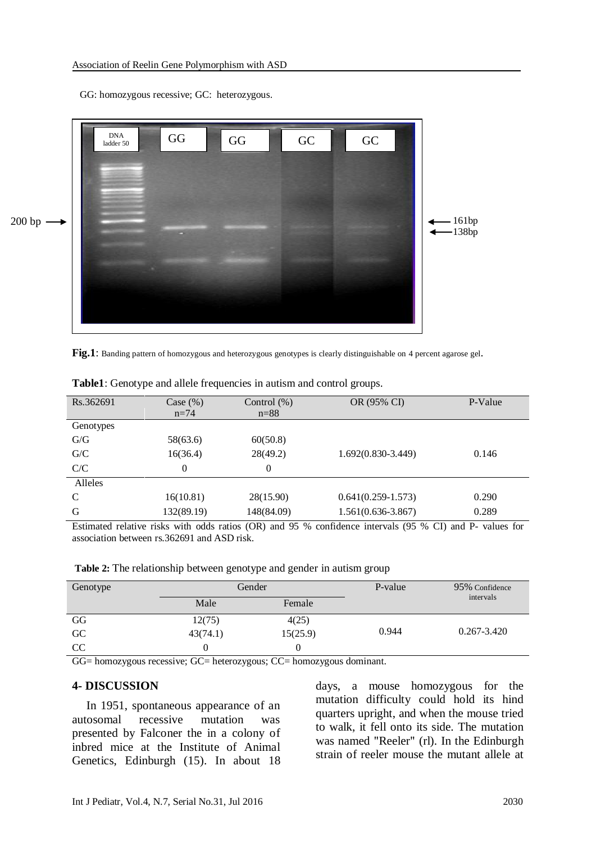GG: homozygous recessive; GC: heterozygous.



**Fig.1**: Banding pattern of homozygous and heterozygous genotypes is clearly distinguishable on 4 percent agarose gel.

| Rs.362691 | Case $(\%)$ | Control $(\%)$ | OR (95% CI)            | P-Value |
|-----------|-------------|----------------|------------------------|---------|
|           | $n=74$      | $n=88$         |                        |         |
| Genotypes |             |                |                        |         |
| G/G       | 58(63.6)    | 60(50.8)       |                        |         |
| G/C       | 16(36.4)    | 28(49.2)       | $1.692(0.830-3.449)$   | 0.146   |
| C/C       | $\theta$    | 0              |                        |         |
| Alleles   |             |                |                        |         |
| C         | 16(10.81)   | 28(15.90)      | $0.641(0.259-1.573)$   | 0.290   |
| G         | 132(89.19)  | 148(84.09)     | $1.561(0.636 - 3.867)$ | 0.289   |

**Table1**: Genotype and allele frequencies in autism and control groups.

Estimated relative risks with odds ratios (OR) and 95 % confidence intervals (95 % CI) and P- values for association between rs.362691 and ASD risk.

| Table 2: The relationship between genotype and gender in autism group |  |  |  |
|-----------------------------------------------------------------------|--|--|--|
|                                                                       |  |  |  |

| Genotype | Gender   |          | P-value | 95% Confidence  |  |
|----------|----------|----------|---------|-----------------|--|
|          | Male     | Female   |         | intervals       |  |
| GG       | 12(75)   | 4(25)    |         | $0.267 - 3.420$ |  |
| GC       | 43(74.1) | 15(25.9) | 0.944   |                 |  |
| CC       | $\theta$ |          |         |                 |  |

GG= homozygous recessive; GC= heterozygous; CC= homozygous dominant.

#### **4- DISCUSSION**

In 1951, spontaneous appearance of an autosomal recessive mutation was presented by Falconer the in a colony of inbred mice at the Institute of Animal Genetics, Edinburgh (15). In about 18 days, a mouse homozygous for the mutation difficulty could hold its hind quarters upright, and when the mouse tried to walk, it fell onto its side. The mutation was named "Reeler" (rl). In the Edinburgh strain of reeler mouse the mutant allele at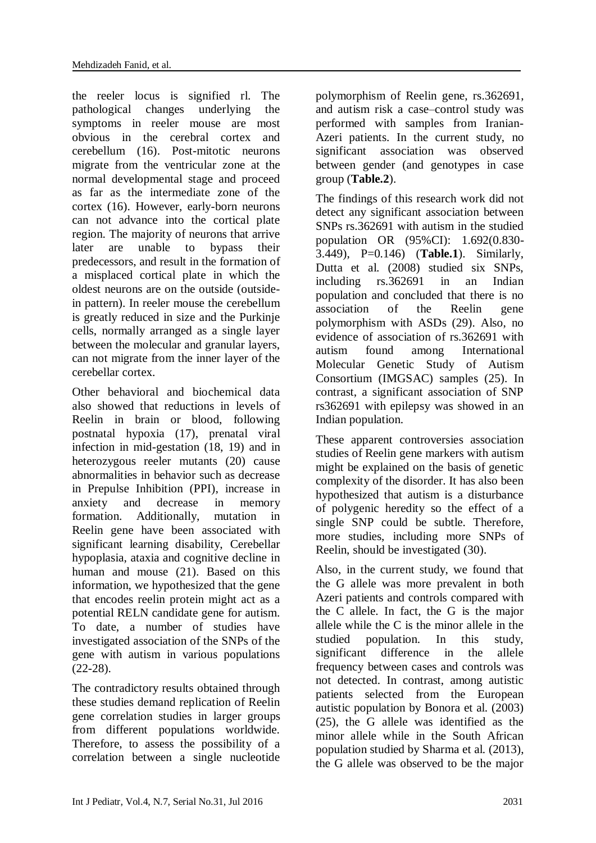the reeler locus is signified rl. The pathological changes underlying the symptoms in reeler mouse are most obvious in the cerebral cortex and cerebellum (16). Post-mitotic neurons migrate from the ventricular zone at the normal developmental stage and proceed as far as the intermediate zone of the cortex (16). However, early-born neurons can not advance into the cortical plate region. The majority of neurons that arrive later are unable to bypass their predecessors, and result in the formation of a misplaced cortical plate in which the oldest neurons are on the outside (outsidein pattern). In reeler mouse the cerebellum is greatly reduced in size and the Purkinje cells, normally arranged as a single layer between the molecular and granular layers, can not migrate from the inner layer of the cerebellar cortex.

Other behavioral and biochemical data also showed that reductions in levels of Reelin in brain or blood, following postnatal hypoxia (17), prenatal viral infection in mid-gestation (18, 19) and in heterozygous reeler mutants (20) cause abnormalities in behavior such as decrease in Prepulse Inhibition (PPI), increase in anxiety and decrease in memory formation. Additionally, mutation in Reelin gene have been associated with significant learning disability, Cerebellar hypoplasia, ataxia and cognitive decline in human and mouse (21). Based on this information, we hypothesized that the gene that encodes reelin protein might act as a potential RELN candidate gene for autism. To date, a number of studies have investigated association of the SNPs of the gene with autism in various populations (22-28).

The contradictory results obtained through these studies demand replication of Reelin gene correlation studies in larger groups from different populations worldwide. Therefore, to assess the possibility of a correlation between a single nucleotide polymorphism of Reelin gene, rs.362691, and autism risk a case–control study was performed with samples from Iranian-Azeri patients. In the current study, no significant association was observed between gender (and genotypes in case group (**Table.2**).

The findings of this research work did not detect any significant association between SNPs rs.362691 with autism in the studied population OR (95%CI): 1.692(0.830- 3.449), P=0.146) (**Table.1**). Similarly, Dutta et al. (2008) studied six SNPs, including rs.362691 in an Indian population and concluded that there is no association of the Reelin gene polymorphism with ASDs (29). Also, no evidence of association of rs.362691 with autism found among International Molecular Genetic Study of Autism Consortium (IMGSAC) samples (25). In contrast, a significant association of SNP rs362691 with epilepsy was showed in an Indian population.

These apparent controversies association studies of Reelin gene markers with autism might be explained on the basis of genetic complexity of the disorder. It has also been hypothesized that autism is a disturbance of polygenic heredity so the effect of a single SNP could be subtle. Therefore, more studies, including more SNPs of Reelin, should be investigated (30).

Also, in the current study, we found that the G allele was more prevalent in both Azeri patients and controls compared with the C allele. In fact, the G is the major allele while the C is the minor allele in the studied population. In this study, significant difference in the allele frequency between cases and controls was not detected. In contrast, among autistic patients selected from the European autistic population by Bonora et al. (2003) (25), the G allele was identified as the minor allele while in the South African population studied by Sharma et al. (2013), the G allele was observed to be the major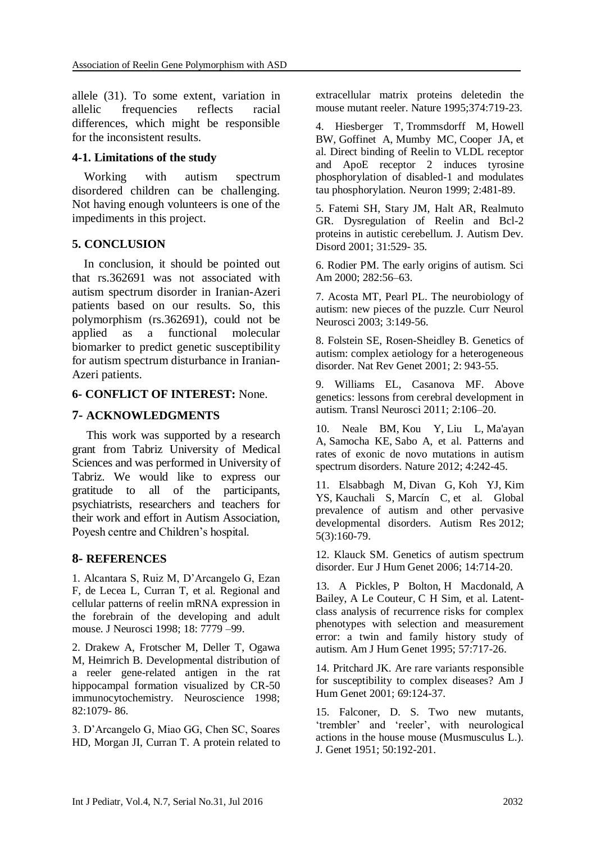allele (31). To some extent, variation in allelic frequencies reflects racial differences, which might be responsible for the inconsistent results.

## **4-1. Limitations of the study**

 Working with autism spectrum disordered children can be challenging. Not having enough volunteers is one of the impediments in this project.

## **5. CONCLUSION**

 In conclusion, it should be pointed out that rs.362691 was not associated with autism spectrum disorder in Iranian-Azeri patients based on our results. So, this polymorphism  $(rs.362691)$ , could not be applied as a functional molecular biomarker to predict genetic susceptibility for autism spectrum disturbance in Iranian-Azeri patients.

#### **6- CONFLICT OF INTEREST:** None.

### **7- ACKNOWLEDGMENTS**

This work was supported by a research grant from Tabriz University of Medical Sciences and was performed in University of Tabriz. We would like to express our gratitude to all of the participants, psychiatrists, researchers and teachers for their work and effort in Autism Association, Poyesh centre and Children's hospital.

#### **8- REFERENCES**

1. Alcantara S, Ruiz M, D'Arcangelo G, Ezan F, de Lecea L, Curran T, et al. Regional and cellular patterns of reelin mRNA expression in the forebrain of the developing and adult mouse. J Neurosci 1998; 18: 7779 –99.

2. Drakew A, Frotscher M, Deller T, Ogawa M, Heimrich B. Developmental distribution of a reeler gene-related antigen in the rat hippocampal formation visualized by CR-50 immunocytochemistry. Neuroscience 1998; 82:1079- 86.

3. D'Arcangelo G, Miao GG, Chen SC, Soares HD, Morgan JI, Curran T. A protein related to extracellular matrix proteins deletedin the mouse mutant reeler. Nature 1995;374:719-23.

4. [Hiesberger T,](http://www.ncbi.nlm.nih.gov/pubmed/?term=Hiesberger%20T%5BAuthor%5D&cauthor=true&cauthor_uid=10571241) [Trommsdorff M,](http://www.ncbi.nlm.nih.gov/pubmed/?term=Trommsdorff%20M%5BAuthor%5D&cauthor=true&cauthor_uid=10571241) [Howell](http://www.ncbi.nlm.nih.gov/pubmed/?term=Howell%20BW%5BAuthor%5D&cauthor=true&cauthor_uid=10571241)  [BW,](http://www.ncbi.nlm.nih.gov/pubmed/?term=Howell%20BW%5BAuthor%5D&cauthor=true&cauthor_uid=10571241) [Goffinet A,](http://www.ncbi.nlm.nih.gov/pubmed/?term=Goffinet%20A%5BAuthor%5D&cauthor=true&cauthor_uid=10571241) [Mumby MC,](http://www.ncbi.nlm.nih.gov/pubmed/?term=Mumby%20MC%5BAuthor%5D&cauthor=true&cauthor_uid=10571241) [Cooper JA,](http://www.ncbi.nlm.nih.gov/pubmed/?term=Cooper%20JA%5BAuthor%5D&cauthor=true&cauthor_uid=10571241) [et](http://www.ncbi.nlm.nih.gov/pubmed/?term=Herz%20J%5BAuthor%5D&cauthor=true&cauthor_uid=10571241) al. Direct binding of Reelin to VLDL receptor and ApoE receptor 2 induces tyrosine phosphorylation of disabled-1 and modulates tau phosphorylation. [Neuron](http://www.ncbi.nlm.nih.gov/pubmed/10571241) 1999; 2:481-89.

5. Fatemi SH, Stary JM, Halt AR, Realmuto GR. Dysregulation of Reelin and Bcl-2 proteins in autistic cerebellum. J. Autism Dev. Disord 2001; 31:529- 35.

6. Rodier PM. The early origins of autism. Sci Am 2000; 282:56–63.

7. Acosta MT, Pearl PL. The neurobiology of autism: new pieces of the puzzle. Curr Neurol Neurosci 2003; 3:149-56.

8. Folstein SE, Rosen-Sheidley B. Genetics of autism: complex aetiology for a heterogeneous disorder. Nat Rev Genet 2001; 2: 943-55.

9. Williams EL, Casanova MF. Above genetics: lessons from cerebral development in autism. Transl Neurosci 2011; 2:106–20.

10. [Neale BM,](http://www.ncbi.nlm.nih.gov/pubmed/?term=Neale%20BM%5BAuthor%5D&cauthor=true&cauthor_uid=22495311) [Kou Y,](http://www.ncbi.nlm.nih.gov/pubmed/?term=Kou%20Y%5BAuthor%5D&cauthor=true&cauthor_uid=22495311) [Liu L,](http://www.ncbi.nlm.nih.gov/pubmed/?term=Liu%20L%5BAuthor%5D&cauthor=true&cauthor_uid=22495311) [Ma'ayan](http://www.ncbi.nlm.nih.gov/pubmed/?term=Ma%27ayan%20A%5BAuthor%5D&cauthor=true&cauthor_uid=22495311)  [A,](http://www.ncbi.nlm.nih.gov/pubmed/?term=Ma%27ayan%20A%5BAuthor%5D&cauthor=true&cauthor_uid=22495311) [Samocha KE,](http://www.ncbi.nlm.nih.gov/pubmed/?term=Samocha%20KE%5BAuthor%5D&cauthor=true&cauthor_uid=22495311) [Sabo A,](http://www.ncbi.nlm.nih.gov/pubmed/?term=Sabo%20A%5BAuthor%5D&cauthor=true&cauthor_uid=22495311) et al. Patterns and rates of exonic de novo mutations in autism spectrum disorders. Nature 2012; 4:242-45.

11. [Elsabbagh M,](http://www.ncbi.nlm.nih.gov/pubmed/?term=Elsabbagh%20M%5BAuthor%5D&cauthor=true&cauthor_uid=22495912) [Divan G,](http://www.ncbi.nlm.nih.gov/pubmed/?term=Divan%20G%5BAuthor%5D&cauthor=true&cauthor_uid=22495912) [Koh YJ,](http://www.ncbi.nlm.nih.gov/pubmed/?term=Koh%20YJ%5BAuthor%5D&cauthor=true&cauthor_uid=22495912) [Kim](http://www.ncbi.nlm.nih.gov/pubmed/?term=Kim%20YS%5BAuthor%5D&cauthor=true&cauthor_uid=22495912)  [YS,](http://www.ncbi.nlm.nih.gov/pubmed/?term=Kim%20YS%5BAuthor%5D&cauthor=true&cauthor_uid=22495912) [Kauchali S,](http://www.ncbi.nlm.nih.gov/pubmed/?term=Kauchali%20S%5BAuthor%5D&cauthor=true&cauthor_uid=22495912) [Marcín C,](http://www.ncbi.nlm.nih.gov/pubmed/?term=Marc%C3%ADn%20C%5BAuthor%5D&cauthor=true&cauthor_uid=22495912) et al. Global prevalence of autism and other pervasive developmental disorders. [Autism Res](http://www.ncbi.nlm.nih.gov/pubmed/22495912) 2012; 5(3):160-79.

12. Klauck SM. Genetics of autism spectrum disorder. Eur J Hum Genet 2006; 14:714-20.

13. [A Pickles,](http://www.ncbi.nlm.nih.gov/pubmed/?term=Pickles%20A%5Bauth%5D) [P Bolton,](http://www.ncbi.nlm.nih.gov/pubmed/?term=Bolton%20P%5Bauth%5D) [H Macdonald,](http://www.ncbi.nlm.nih.gov/pubmed/?term=Macdonald%20H%5Bauth%5D) [A](http://www.ncbi.nlm.nih.gov/pubmed/?term=Bailey%20A%5Bauth%5D)  [Bailey,](http://www.ncbi.nlm.nih.gov/pubmed/?term=Bailey%20A%5Bauth%5D) [A Le Couteur,](http://www.ncbi.nlm.nih.gov/pubmed/?term=Le%20Couteur%20A%5Bauth%5D) [C H Sim,](http://www.ncbi.nlm.nih.gov/pubmed/?term=Sim%20CH%5Bauth%5D) et al. Latentclass analysis of recurrence risks for complex phenotypes with selection and measurement error: a twin and family history study of autism. Am J Hum Genet 1995; 57:717-26.

14. Pritchard JK. Are rare variants responsible for susceptibility to complex diseases? Am J Hum Genet 2001; 69:124-37.

15. Falconer, D. S. Two new mutants, 'trembler' and 'reeler', with neurological actions in the house mouse (Musmusculus L.). J. Genet 1951; 50:192-201.